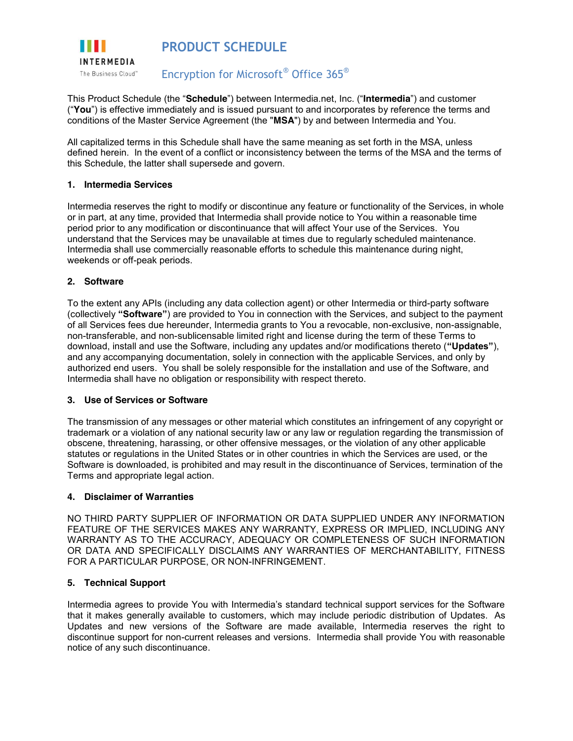

This Product Schedule (the "**Schedule**") between Intermedia.net, Inc. ("**Intermedia**") and customer ("**You**") is effective immediately and is issued pursuant to and incorporates by reference the terms and conditions of the Master Service Agreement (the "**MSA**") by and between Intermedia and You.

All capitalized terms in this Schedule shall have the same meaning as set forth in the MSA, unless defined herein. In the event of a conflict or inconsistency between the terms of the MSA and the terms of this Schedule, the latter shall supersede and govern.

## **1. Intermedia Services**

Intermedia reserves the right to modify or discontinue any feature or functionality of the Services, in whole or in part, at any time, provided that Intermedia shall provide notice to You within a reasonable time period prior to any modification or discontinuance that will affect Your use of the Services. You understand that the Services may be unavailable at times due to regularly scheduled maintenance. Intermedia shall use commercially reasonable efforts to schedule this maintenance during night, weekends or off-peak periods.

## **2. Software**

To the extent any APIs (including any data collection agent) or other Intermedia or third-party software (collectively **"Software"**) are provided to You in connection with the Services, and subject to the payment of all Services fees due hereunder, Intermedia grants to You a revocable, non-exclusive, non-assignable, non-transferable, and non-sublicensable limited right and license during the term of these Terms to download, install and use the Software, including any updates and/or modifications thereto (**"Updates"**), and any accompanying documentation, solely in connection with the applicable Services, and only by authorized end users. You shall be solely responsible for the installation and use of the Software, and Intermedia shall have no obligation or responsibility with respect thereto.

## **3. Use of Services or Software**

The transmission of any messages or other material which constitutes an infringement of any copyright or trademark or a violation of any national security law or any law or regulation regarding the transmission of obscene, threatening, harassing, or other offensive messages, or the violation of any other applicable statutes or regulations in the United States or in other countries in which the Services are used, or the Software is downloaded, is prohibited and may result in the discontinuance of Services, termination of the Terms and appropriate legal action.

# **4. Disclaimer of Warranties**

NO THIRD PARTY SUPPLIER OF INFORMATION OR DATA SUPPLIED UNDER ANY INFORMATION FEATURE OF THE SERVICES MAKES ANY WARRANTY, EXPRESS OR IMPLIED, INCLUDING ANY WARRANTY AS TO THE ACCURACY, ADEQUACY OR COMPLETENESS OF SUCH INFORMATION OR DATA AND SPECIFICALLY DISCLAIMS ANY WARRANTIES OF MERCHANTABILITY, FITNESS FOR A PARTICULAR PURPOSE, OR NON-INFRINGEMENT.

# **5. Technical Support**

Intermedia agrees to provide You with Intermedia's standard technical support services for the Software that it makes generally available to customers, which may include periodic distribution of Updates. As Updates and new versions of the Software are made available, Intermedia reserves the right to discontinue support for non-current releases and versions. Intermedia shall provide You with reasonable notice of any such discontinuance.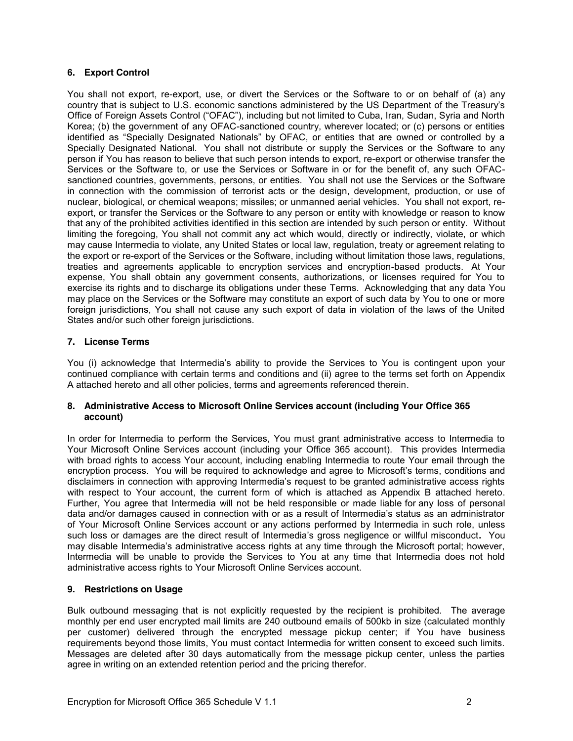# **6. Export Control**

You shall not export, re-export, use, or divert the Services or the Software to or on behalf of (a) any country that is subject to U.S. economic sanctions administered by the US Department of the Treasury's Office of Foreign Assets Control ("OFAC"), including but not limited to Cuba, Iran, Sudan, Syria and North Korea; (b) the government of any OFAC-sanctioned country, wherever located; or (c) persons or entities identified as "Specially Designated Nationals" by OFAC, or entities that are owned or controlled by a Specially Designated National. You shall not distribute or supply the Services or the Software to any person if You has reason to believe that such person intends to export, re-export or otherwise transfer the Services or the Software to, or use the Services or Software in or for the benefit of, any such OFACsanctioned countries, governments, persons, or entities. You shall not use the Services or the Software in connection with the commission of terrorist acts or the design, development, production, or use of nuclear, biological, or chemical weapons; missiles; or unmanned aerial vehicles. You shall not export, reexport, or transfer the Services or the Software to any person or entity with knowledge or reason to know that any of the prohibited activities identified in this section are intended by such person or entity. Without limiting the foregoing, You shall not commit any act which would, directly or indirectly, violate, or which may cause Intermedia to violate, any United States or local law, regulation, treaty or agreement relating to the export or re-export of the Services or the Software, including without limitation those laws, regulations, treaties and agreements applicable to encryption services and encryption-based products. At Your expense, You shall obtain any government consents, authorizations, or licenses required for You to exercise its rights and to discharge its obligations under these Terms. Acknowledging that any data You may place on the Services or the Software may constitute an export of such data by You to one or more foreign jurisdictions, You shall not cause any such export of data in violation of the laws of the United States and/or such other foreign jurisdictions.

# **7. License Terms**

You (i) acknowledge that Intermedia's ability to provide the Services to You is contingent upon your continued compliance with certain terms and conditions and (ii) agree to the terms set forth on Appendix A attached hereto and all other policies, terms and agreements referenced therein.

## **8. Administrative Access to Microsoft Online Services account (including Your Office 365 account)**

In order for Intermedia to perform the Services, You must grant administrative access to Intermedia to Your Microsoft Online Services account (including your Office 365 account). This provides Intermedia with broad rights to access Your account, including enabling Intermedia to route Your email through the encryption process. You will be required to acknowledge and agree to Microsoft's terms, conditions and disclaimers in connection with approving Intermedia's request to be granted administrative access rights with respect to Your account, the current form of which is attached as Appendix B attached hereto. Further, You agree that Intermedia will not be held responsible or made liable for any loss of personal data and/or damages caused in connection with or as a result of Intermedia's status as an administrator of Your Microsoft Online Services account or any actions performed by Intermedia in such role, unless such loss or damages are the direct result of Intermedia's gross negligence or willful misconduct**.** You may disable Intermedia's administrative access rights at any time through the Microsoft portal; however, Intermedia will be unable to provide the Services to You at any time that Intermedia does not hold administrative access rights to Your Microsoft Online Services account.

# **9. Restrictions on Usage**

Bulk outbound messaging that is not explicitly requested by the recipient is prohibited. The average monthly per end user encrypted mail limits are 240 outbound emails of 500kb in size (calculated monthly per customer) delivered through the encrypted message pickup center; if You have business requirements beyond those limits, You must contact Intermedia for written consent to exceed such limits. Messages are deleted after 30 days automatically from the message pickup center, unless the parties agree in writing on an extended retention period and the pricing therefor.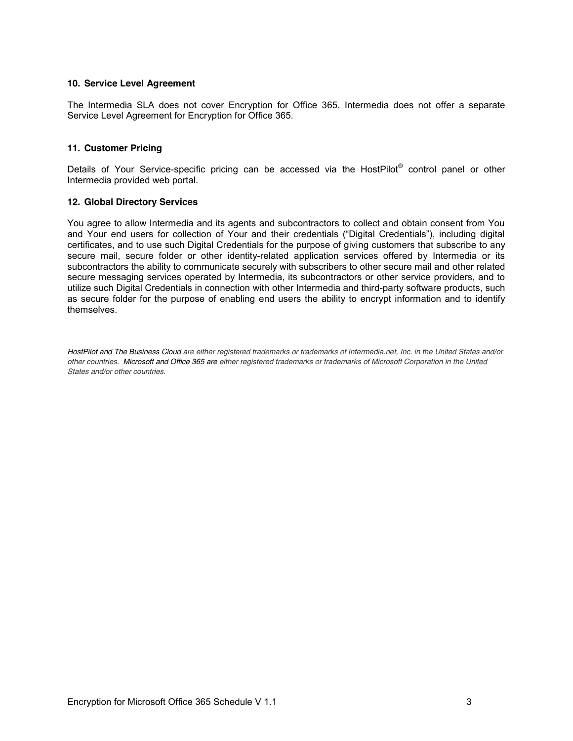## **10. Service Level Agreement**

The Intermedia SLA does not cover Encryption for Office 365. Intermedia does not offer a separate Service Level Agreement for Encryption for Office 365.

## **11. Customer Pricing**

Details of Your Service-specific pricing can be accessed via the HostPilot<sup>®</sup> control panel or other Intermedia provided web portal.

## **12. Global Directory Services**

You agree to allow Intermedia and its agents and subcontractors to collect and obtain consent from You and Your end users for collection of Your and their credentials ("Digital Credentials"), including digital certificates, and to use such Digital Credentials for the purpose of giving customers that subscribe to any secure mail, secure folder or other identity-related application services offered by Intermedia or its subcontractors the ability to communicate securely with subscribers to other secure mail and other related secure messaging services operated by Intermedia, its subcontractors or other service providers, and to utilize such Digital Credentials in connection with other Intermedia and third-party software products, such as secure folder for the purpose of enabling end users the ability to encrypt information and to identify themselves.

*HostPilot and The Business Cloud are either registered trademarks or trademarks of Intermedia.net, Inc. in the United States and/or other countries. Microsoft and Office 365 are either registered trademarks or trademarks of Microsoft Corporation in the United States and/or other countries.*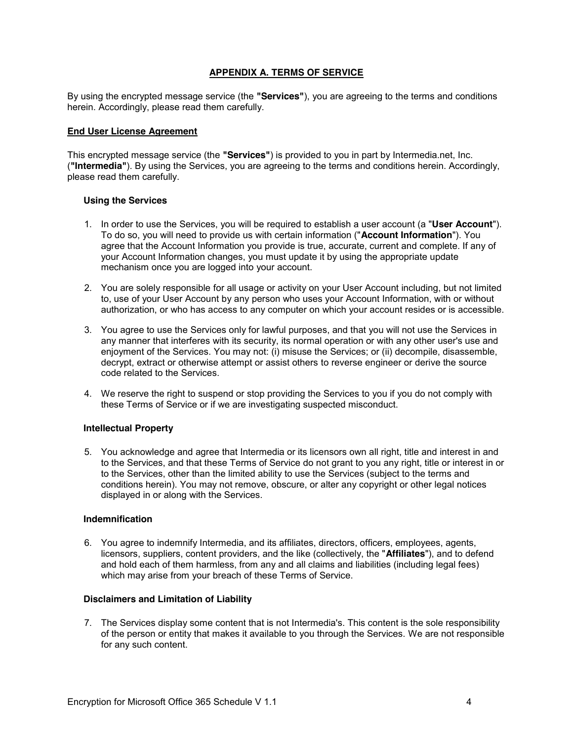## **APPENDIX A. TERMS OF SERVICE**

By using the encrypted message service (the **"Services"**), you are agreeing to the terms and conditions herein. Accordingly, please read them carefully.

### **End User License Agreement**

This encrypted message service (the **"Services"**) is provided to you in part by Intermedia.net, Inc. (**"Intermedia"**). By using the Services, you are agreeing to the terms and conditions herein. Accordingly, please read them carefully.

#### **Using the Services**

- 1. In order to use the Services, you will be required to establish a user account (a "**User Account**"). To do so, you will need to provide us with certain information ("**Account Information**"). You agree that the Account Information you provide is true, accurate, current and complete. If any of your Account Information changes, you must update it by using the appropriate update mechanism once you are logged into your account.
- 2. You are solely responsible for all usage or activity on your User Account including, but not limited to, use of your User Account by any person who uses your Account Information, with or without authorization, or who has access to any computer on which your account resides or is accessible.
- 3. You agree to use the Services only for lawful purposes, and that you will not use the Services in any manner that interferes with its security, its normal operation or with any other user's use and enjoyment of the Services. You may not: (i) misuse the Services; or (ii) decompile, disassemble, decrypt, extract or otherwise attempt or assist others to reverse engineer or derive the source code related to the Services.
- 4. We reserve the right to suspend or stop providing the Services to you if you do not comply with these Terms of Service or if we are investigating suspected misconduct.

## **Intellectual Property**

5. You acknowledge and agree that Intermedia or its licensors own all right, title and interest in and to the Services, and that these Terms of Service do not grant to you any right, title or interest in or to the Services, other than the limited ability to use the Services (subject to the terms and conditions herein). You may not remove, obscure, or alter any copyright or other legal notices displayed in or along with the Services.

#### **Indemnification**

6. You agree to indemnify Intermedia, and its affiliates, directors, officers, employees, agents, licensors, suppliers, content providers, and the like (collectively, the "**Affiliates**"), and to defend and hold each of them harmless, from any and all claims and liabilities (including legal fees) which may arise from your breach of these Terms of Service.

## **Disclaimers and Limitation of Liability**

7. The Services display some content that is not Intermedia's. This content is the sole responsibility of the person or entity that makes it available to you through the Services. We are not responsible for any such content.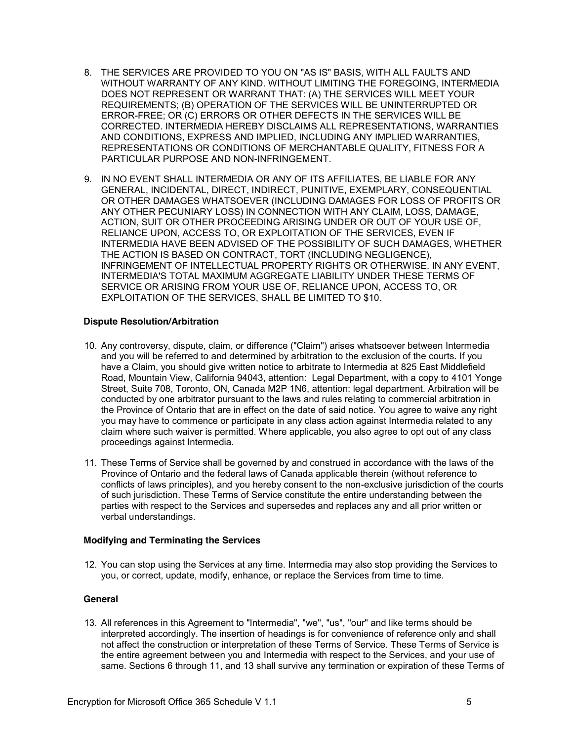- 8. THE SERVICES ARE PROVIDED TO YOU ON "AS IS" BASIS, WITH ALL FAULTS AND WITHOUT WARRANTY OF ANY KIND. WITHOUT LIMITING THE FOREGOING, INTERMEDIA DOES NOT REPRESENT OR WARRANT THAT: (A) THE SERVICES WILL MEET YOUR REQUIREMENTS; (B) OPERATION OF THE SERVICES WILL BE UNINTERRUPTED OR ERROR-FREE; OR (C) ERRORS OR OTHER DEFECTS IN THE SERVICES WILL BE CORRECTED. INTERMEDIA HEREBY DISCLAIMS ALL REPRESENTATIONS, WARRANTIES AND CONDITIONS, EXPRESS AND IMPLIED, INCLUDING ANY IMPLIED WARRANTIES, REPRESENTATIONS OR CONDITIONS OF MERCHANTABLE QUALITY, FITNESS FOR A PARTICULAR PURPOSE AND NON-INFRINGEMENT.
- 9. IN NO EVENT SHALL INTERMEDIA OR ANY OF ITS AFFILIATES, BE LIABLE FOR ANY GENERAL, INCIDENTAL, DIRECT, INDIRECT, PUNITIVE, EXEMPLARY, CONSEQUENTIAL OR OTHER DAMAGES WHATSOEVER (INCLUDING DAMAGES FOR LOSS OF PROFITS OR ANY OTHER PECUNIARY LOSS) IN CONNECTION WITH ANY CLAIM, LOSS, DAMAGE, ACTION, SUIT OR OTHER PROCEEDING ARISING UNDER OR OUT OF YOUR USE OF, RELIANCE UPON, ACCESS TO, OR EXPLOITATION OF THE SERVICES, EVEN IF INTERMEDIA HAVE BEEN ADVISED OF THE POSSIBILITY OF SUCH DAMAGES, WHETHER THE ACTION IS BASED ON CONTRACT, TORT (INCLUDING NEGLIGENCE), INFRINGEMENT OF INTELLECTUAL PROPERTY RIGHTS OR OTHERWISE. IN ANY EVENT, INTERMEDIA'S TOTAL MAXIMUM AGGREGATE LIABILITY UNDER THESE TERMS OF SERVICE OR ARISING FROM YOUR USE OF, RELIANCE UPON, ACCESS TO, OR EXPLOITATION OF THE SERVICES, SHALL BE LIMITED TO \$10.

## **Dispute Resolution/Arbitration**

- 10. Any controversy, dispute, claim, or difference ("Claim") arises whatsoever between Intermedia and you will be referred to and determined by arbitration to the exclusion of the courts. If you have a Claim, you should give written notice to arbitrate to Intermedia at 825 East Middlefield Road, Mountain View, California 94043, attention: Legal Department, with a copy to 4101 Yonge Street, Suite 708, Toronto, ON, Canada M2P 1N6, attention: legal department. Arbitration will be conducted by one arbitrator pursuant to the laws and rules relating to commercial arbitration in the Province of Ontario that are in effect on the date of said notice. You agree to waive any right you may have to commence or participate in any class action against Intermedia related to any claim where such waiver is permitted. Where applicable, you also agree to opt out of any class proceedings against Intermedia.
- 11. These Terms of Service shall be governed by and construed in accordance with the laws of the Province of Ontario and the federal laws of Canada applicable therein (without reference to conflicts of laws principles), and you hereby consent to the non-exclusive jurisdiction of the courts of such jurisdiction. These Terms of Service constitute the entire understanding between the parties with respect to the Services and supersedes and replaces any and all prior written or verbal understandings.

## **Modifying and Terminating the Services**

12. You can stop using the Services at any time. Intermedia may also stop providing the Services to you, or correct, update, modify, enhance, or replace the Services from time to time.

## **General**

13. All references in this Agreement to "Intermedia", "we", "us", "our" and like terms should be interpreted accordingly. The insertion of headings is for convenience of reference only and shall not affect the construction or interpretation of these Terms of Service. These Terms of Service is the entire agreement between you and Intermedia with respect to the Services, and your use of same. Sections 6 through 11, and 13 shall survive any termination or expiration of these Terms of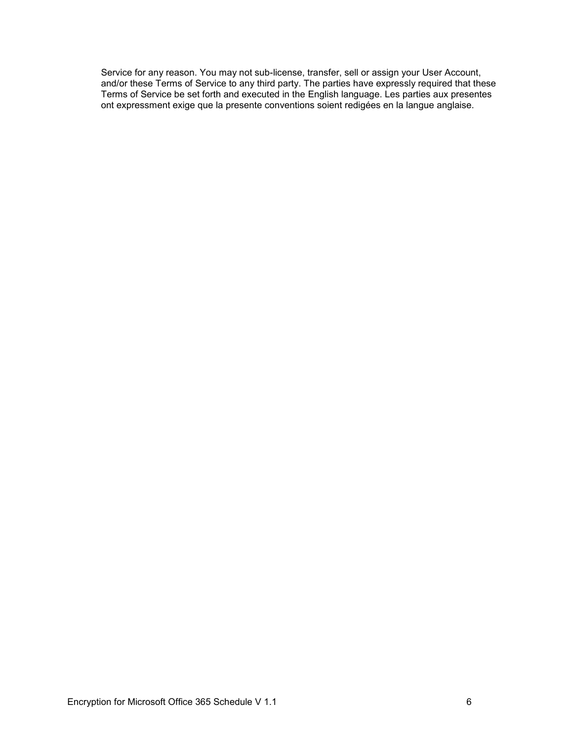Service for any reason. You may not sub-license, transfer, sell or assign your User Account, and/or these Terms of Service to any third party. The parties have expressly required that these Terms of Service be set forth and executed in the English language. Les parties aux presentes ont expressment exige que la presente conventions soient redigées en la langue anglaise.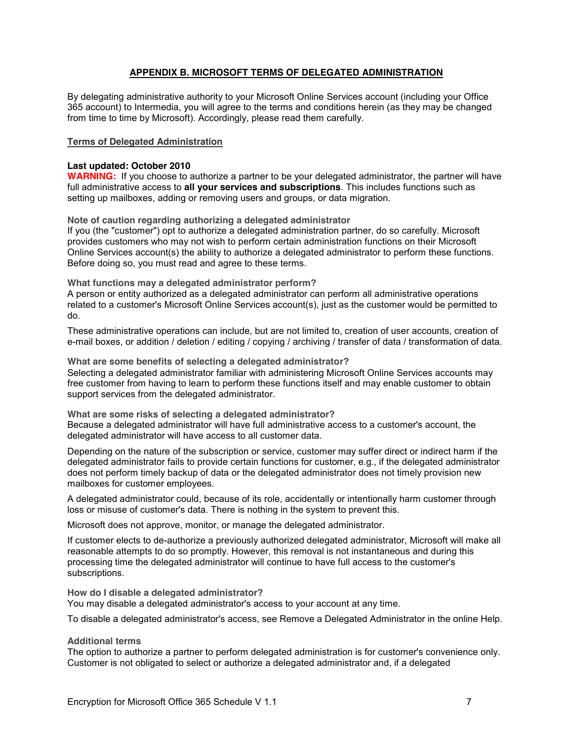## **APPENDIX B. MICROSOFT TERMS OF DELEGATED ADMINISTRATION**

By delegating administrative authority to your Microsoft Online Services account (including your Office 365 account) to Intermedia, you will agree to the terms and conditions herein (as they may be changed from time to time by Microsoft). Accordingly, please read them carefully.

### **Terms of Delegated Administration**

#### **Last updated: October 2010**

**WARNING:** If you choose to authorize a partner to be your delegated administrator, the partner will have full administrative access to **all your services and subscriptions**. This includes functions such as setting up mailboxes, adding or removing users and groups, or data migration.

**Note of caution regarding authorizing a delegated administrator**

If you (the "customer") opt to authorize a delegated administration partner, do so carefully. Microsoft provides customers who may not wish to perform certain administration functions on their Microsoft Online Services account(s) the ability to authorize a delegated administrator to perform these functions. Before doing so, you must read and agree to these terms.

**What functions may a delegated administrator perform?**

A person or entity authorized as a delegated administrator can perform all administrative operations related to a customer's Microsoft Online Services account(s), just as the customer would be permitted to do.

These administrative operations can include, but are not limited to, creation of user accounts, creation of e-mail boxes, or addition / deletion / editing / copying / archiving / transfer of data / transformation of data.

**What are some benefits of selecting a delegated administrator?** Selecting a delegated administrator familiar with administering Microsoft Online Services accounts may free customer from having to learn to perform these functions itself and may enable customer to obtain support services from the delegated administrator.

**What are some risks of selecting a delegated administrator?** Because a delegated administrator will have full administrative access to a customer's account, the delegated administrator will have access to all customer data.

Depending on the nature of the subscription or service, customer may suffer direct or indirect harm if the delegated administrator fails to provide certain functions for customer, e.g., if the delegated administrator does not perform timely backup of data or the delegated administrator does not timely provision new mailboxes for customer employees.

A delegated administrator could, because of its role, accidentally or intentionally harm customer through loss or misuse of customer's data. There is nothing in the system to prevent this.

Microsoft does not approve, monitor, or manage the delegated administrator.

If customer elects to de-authorize a previously authorized delegated administrator, Microsoft will make all reasonable attempts to do so promptly. However, this removal is not instantaneous and during this processing time the delegated administrator will continue to have full access to the customer's subscriptions.

**How do I disable a delegated administrator?**

You may disable a delegated administrator's access to your account at any time.

To disable a delegated administrator's access, see Remove a Delegated Administrator in the online Help.

#### **Additional terms**

The option to authorize a partner to perform delegated administration is for customer's convenience only. Customer is not obligated to select or authorize a delegated administrator and, if a delegated